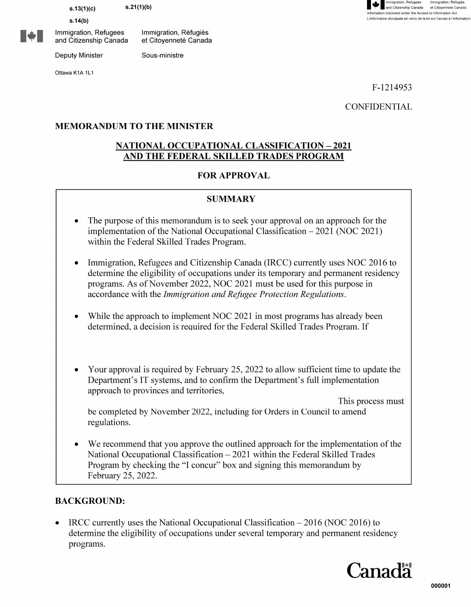**s.13(1)(c)** 

**s.14(b)** 

<u>III</u> Immigration, Refugees and Citizenship Canada

Deputy Minister

Ottawa K1A 1L1



F-1214953

**CONFIDENTIAL** 

#### **MEMORANDUM TO THE MINISTER**

Immigration, Refugies et Citovenneté Canada

Sous-ministre

#### **NATIONAL OCCUPATIONAL CLASSIFICATION-2021 AND THE FEDERAL SKILLED TRADES PROGRAM**

#### **FOR APPROVAL**

#### **SUMMARY**

- The purpose of this memorandum is to seek your approval on an approach for the implementation of the National Occupational Classification- 2021 (NOC 2021) within the Federal Skilled Trades Program.
- Immigration, Refugees and Citizenship Canada (IRCC) currently uses NOC 2016 to determine the eligibility of occupations under its temporary and permanent residency programs. As of November 2022, NOC 2021 must be used for this purpose in accordance with the *Immigration and Refugee Protection Regulations.*
- While the approach to implement NOC 2021 in most programs has already been determined, a decision is required for the Federal Skilled Trades Program. If
- Your approval is required by February 25, 2022 to allow sufficient time to update the Department's IT systems, and to confirm the Department's full implementation approach to provinces and territories,

This process must be completed by November 2022, including for Orders in Council to amend regulations.

We recommend that you approve the outlined approach for the implementation of the National Occupational Classification - 2021 within the Federal Skilled Trades Program by checking the "I concur" box and signing this memorandum by February 25, 2022.

#### **BACKGROUND:**

• IRCC currently uses the National Occupational Classification – 2016 (NOC 2016) to determine the eligibility of occupations under several temporary and permanent residency programs.

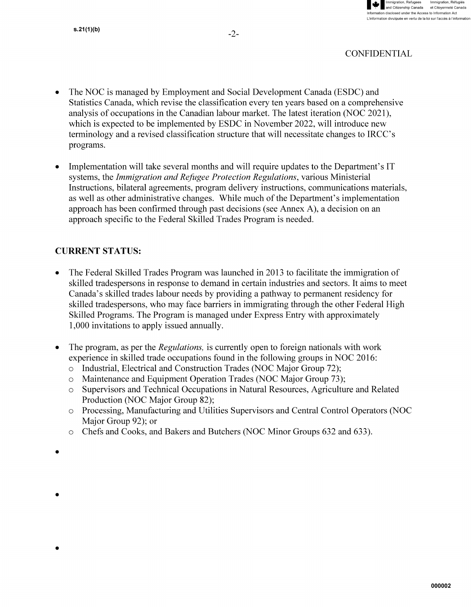

- The NOC is managed by Employment and Social Development Canada (ESDC) and Statistics Canada, which revise the classification every ten years based on a comprehensive analysis of occupations in the Canadian labour market. The latest iteration (NOC 2021 ), which is expected to be implemented by ESDC in November 2022, will introduce new terminology and a revised classification structure that will necessitate changes to IRCC's programs.
- Implementation will take several months and will require updates to the Department's IT systems, the *Immigration and Refugee Protection Regulations,* various Ministerial Instructions, bilateral agreements, program delivery instructions, communications materials, as well as other administrative changes. While much of the Department's implementation approach has been confirmed through past decisions (see Annex A), a decision on an approach specific to the Federal Skilled Trades Program is needed.

# **CURRENT STATUS:**

- The Federal Skilled Trades Program was launched in 2013 to facilitate the immigration of skilled tradespersons in response to demand in certain industries and sectors. It aims to meet Canada's skilled trades labour needs by providing a pathway to permanent residency for skilled tradespersons, who may face barriers in immigrating through the other Federal High Skilled Programs. The Program is managed under Express Entry with approximately 1,000 invitations to apply issued annually.
- The program, as per the *Regulations,* is currently open to foreign nationals with work experience in skilled trade occupations found in the following groups in NOC 2016:
	- o Industrial, Electrical and Construction Trades (NOC Major Group 72);
	- o Maintenance and Equipment Operation Trades (NOC Major Group 73);
	- o Supervisors and Technical Occupations in Natural Resources, Agriculture and Related Production (NOC Major Group 82);
	- o Processing, Manufacturing and Utilities Supervisors and Central Control Operators (NOC Major Group 92); or
	- o Chefs and Cooks, and Bakers and Butchers (NOC Minor Groups 632 and 633) .
- •

•

•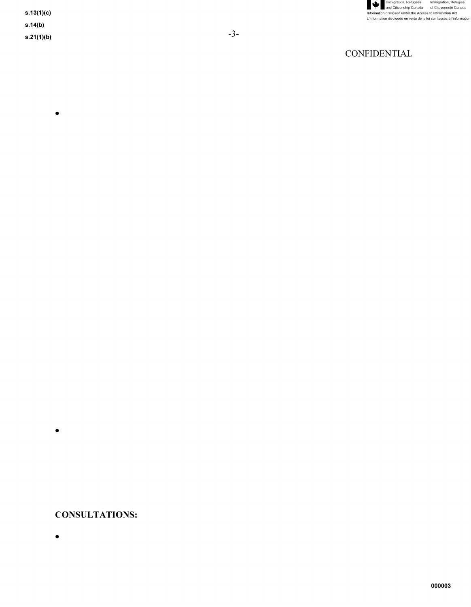

- $s.14(b)$
- $s.21(1)(b)$

 $\bullet$ 

### **CONSULTATIONS:**

 $\bullet$ 

 $\bullet$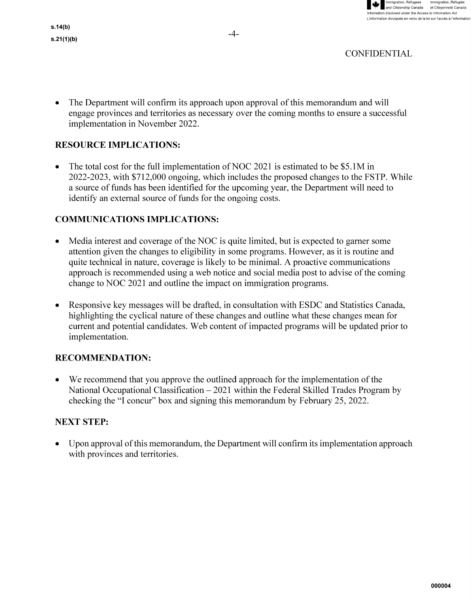

• The Department will confirm its approach upon approval of this memorandum and will engage provinces and territories as necessary over the coming months to ensure a successful implementation in November 2022.

# **RESOURCE IMPLICATIONS:**

• The total cost for the full implementation of NOC 2021 is estimated to be \$5.1M in 2022-2023, with \$712,000 ongoing, which includes the proposed changes to the FSTP. While a source of funds has been identified for the upcoming year, the Department will need to identify an external source of funds for the ongoing costs.

## **COMMUNICATIONS IMPLICATIONS:**

- Media interest and coverage of the NOC is quite limited, but is expected to garner some attention given the changes to eligibility in some programs. However, as it is routine and quite technical in nature, coverage is likely to be minimal. A proactive communications approach is recommended using a web notice and social media post to advise of the coming change to NOC 2021 and outline the impact on immigration programs.
- Responsive key messages will be drafted, in consultation with ESDC and Statistics Canada, highlighting the cyclical nature of these changes and outline what these changes mean for current and potential candidates. Web content of impacted programs will be updated prior to implementation.

## **RECOMMENDATION:**

• We recommend that you approve the outlined approach for the implementation of the National Occupational Classification  $- 2021$  within the Federal Skilled Trades Program by checking the "I concur" box and signing this memorandum by February 25, 2022.

## **NEXT STEP:**

• Upon approval of this memorandum, the Department will confirm its implementation approach with provinces and territories.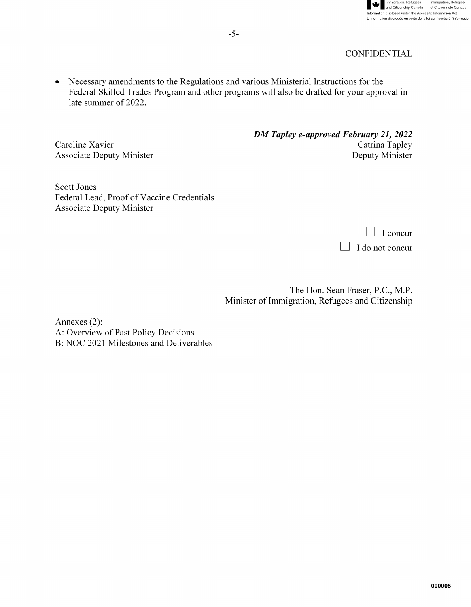

• Necessary amendments to the Regulations and various Ministerial Instructions for the Federal Skilled Trades Program and other programs will also be drafted for your approval in late summer of 2022.

Caroline Xavier Associate Deputy Minister *DM Tapley e-approved February 21, 2022*  Catrina Tapley Deputy Minister

Scott Jones Federal Lead, Proof of Vaccine Credentials Associate Deputy Minister

| $\vert \vert$ I concur |
|------------------------|
| $\Box$ I do not concur |

The Hon. Sean Fraser, P.C., M.P. Minister of Immigration, Refugees and Citizenship

Annexes (2): A: Overview of Past Policy Decisions B: NOC 2021 Milestones and Deliverables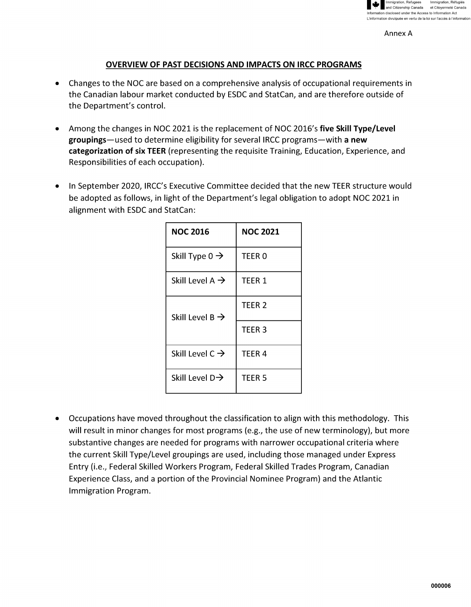

Annex A

#### **OVERVIEW OF PAST DECISIONS AND IMPACTS ON IRCC PROGRAMS**

- Changes to the NOC are based on a comprehensive analysis of occupational requirements in the Canadian labour market conducted by ESDC and StatCan, and are therefore outside of the Department's control.
- Among the changes in NOC 2021 is the replacement of NOC 2016's **five Skill Type/Level groupings-used** to determine eligibility for several IRCC programs-with **a new categorization of six TEER** (representing the requisite Training, Education, Experience, and Responsibilities of each occupation).
- In September 2020, IRCC's Executive Committee decided that the new TEER structure would be adopted as follows, in light of the Department's legal obligation to adopt NOC 2021 in alignment with ESDC and StatCan:

| <b>NOC 2016</b>             | <b>NOC 2021</b>   |
|-----------------------------|-------------------|
| Skill Type $0 \rightarrow$  | TEER 0            |
| Skill Level A $\rightarrow$ | TEER 1            |
| Skill Level B $\rightarrow$ | TEER <sub>2</sub> |
|                             | TEER <sub>3</sub> |
| Skill Level C $\rightarrow$ | TEER <sub>4</sub> |
| Skill Level $D\rightarrow$  | TEER <sub>5</sub> |

• Occupations have moved throughout the classification to align with this methodology. This will result in minor changes for most programs (e.g., the use of new terminology), but more substantive changes are needed for programs with narrower occupational criteria where the current Skill Type/Level groupings are used, including those managed under Express Entry (i.e., Federal Skilled Workers Program, Federal Skilled Trades Program, Canadian Experience Class, and a portion of the Provincial Nominee Program) and the Atlantic Immigration Program.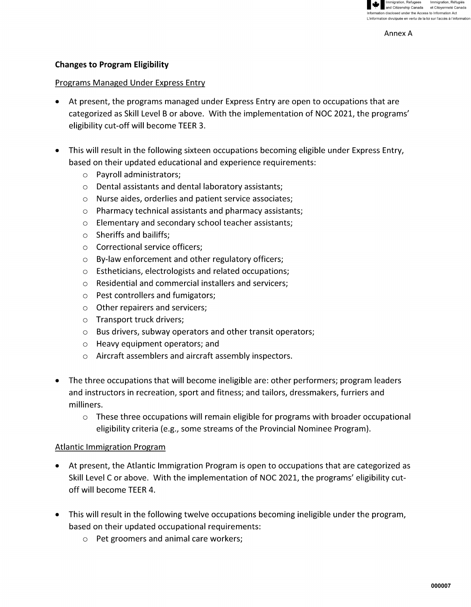

Annex A

### **Changes to Program Eligibility**

#### Programs Managed Under Express Entry

- At present, the programs managed under Express Entry are open to occupations that are categorized as Skill Level B or above. With the implementation of NOC 2021, the programs' eligibility cut-off will become TEER 3.
- This will result in the following sixteen occupations becoming eligible under Express Entry, based on their updated educational and experience requirements:
	- o Payroll administrators;
	- o Dental assistants and dental laboratory assistants;
	- o Nurse aides, orderlies and patient service associates;
	- o Pharmacy technical assistants and pharmacy assistants;
	- o Elementary and secondary school teacher assistants;
	- $\circ$  Sheriffs and bailiffs:
	- o Correctional service officers;
	- o By-law enforcement and other regulatory officers;
	- o Estheticians, electrologists and related occupations;
	- o Residential and commercial installers and servicers;
	- o Pest controllers and fumigators;
	- o Other repairers and servicers;
	- o Transport truck drivers;
	- o Bus drivers, subway operators and other transit operators;
	- o Heavy equipment operators; and
	- o Aircraft assemblers and aircraft assembly inspectors.
- The three occupations that will become ineligible are: other performers; program leaders and instructors in recreation, sport and fitness; and tailors, dressmakers, furriers and milliners.
	- $\circ$  These three occupations will remain eligible for programs with broader occupational eligibility criteria (e.g., some streams of the Provincial Nominee Program).

### Atlantic Immigration Program

- At present, the Atlantic Immigration Program is open to occupations that are categorized as Skill Level C or above. With the implementation of NOC 2021, the programs' eligibility cutoff will become TEER 4.
- This will result in the following twelve occupations becoming ineligible under the program, based on their updated occupational requirements:
	- o Pet groomers and animal care workers;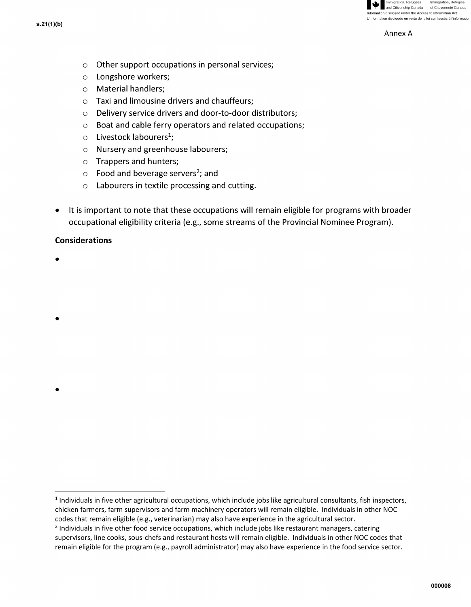

Annex A

- o Other support occupations in personal services;
- o Longshore workers;
- o Material handlers;
- $\circ$  Taxi and limousine drivers and chauffeurs:
- o Delivery service drivers and door-to-door distributors;
- o Boat and cable ferry operators and related occupations;
- $\circ$  Livestock labourers<sup>1</sup>:
- o Nursery and greenhouse labourers;
- o Trappers and hunters;
- $\circ$  Food and beverage servers<sup>2</sup>; and
- o Labourers in textile processing and cutting.
- It is important to note that these occupations will remain eligible for programs with broader occupational eligibility criteria (e.g., some streams of the Provincial Nominee Program).

#### **Considerations**

•

•

•

 $1$  Individuals in five other agricultural occupations, which include jobs like agricultural consultants, fish inspectors, chicken farmers, farm supervisors and farm machinery operators will remain eligible. Individuals in other NOC codes that remain eligible (e.g., veterinarian) may also have experience in the agricultural sector.

<sup>&</sup>lt;sup>2</sup> Individuals in five other food service occupations, which include jobs like restaurant managers, catering supervisors, line cooks, sous-chefs and restaurant hosts will remain eligible. Individuals in other NOC codes that remain eligible for the program (e.g., payroll administrator) may also have experience in the food service sector.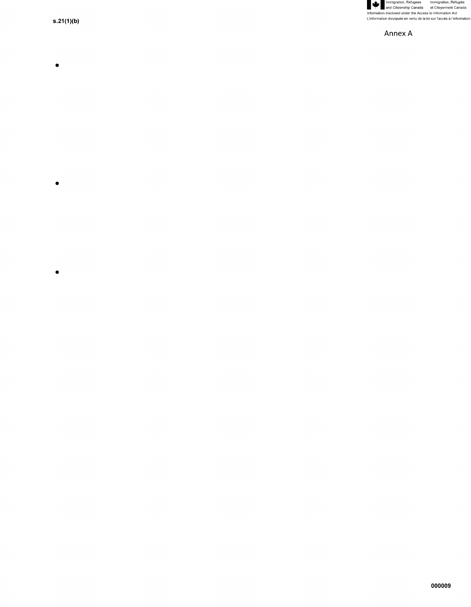Manumigration, Refugees Immigration, Réfugiés<br>Information disclosed under the Access to Information Act<br>L'information disclosed under the Access to Information Act<br>L'information divulguée en vertu de la loi sur l'accès à

Annex A

 $s.21(1)(b)$ 

- $\bullet$
- 
- 
- 
- 
- 
- $\bullet$
- 
- 
- 
- $\bullet$
- 
- 
- 
- -
	-
- 
- 
- -

000009